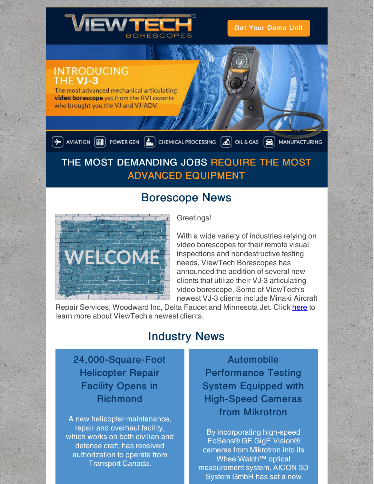

Get Your [Demo](https://www.viewtech.com/borescope-demo-offer/?utm_source=newsletter&utm_medium=email&utm_campaign=newsletter1219) Unit

### **INTRODUCING** THF VJ-3

The most advanced mechanical articulating video borescope yet from the RVI experts who brought you the VJ and VJ-ADV.

 $\boxed{\div}$  AVIATION  $\boxed{\text{min}}$  POWER GEN  $\boxed{\text{min}}$  CHEMICAL PROCESSING  $\boxed{\text{min}}$  OIL & GAS  $\boxed{\text{min}}$  MANUFACTURING

# THE MOST DEMANDING JOBS REQUIRE THE MOST ADVANCED EQUIPMENT

# Borescope News



### Greetings!

With a wide variety of industries relying on video borescopes for their remote visual inspections and nondestructive testing needs, ViewTech Borescopes has announced the addition of several new clients that utilize their VJ-3 articulating video borescope. Some of ViewTech's newest VJ-3 clients include Minaki Aircraft

Repair Services, Woodward Inc, Delta Faucet and Minnesota Jet. Click [here](https://www.viewtech.com/viewtech-borescopes-announces-new-clients/?utm_source=newsletter&utm_medium=email&utm_campaign=newsletter1219) to learn more about ViewTech's newest clients.

### Industry News

### 24,000-Square-Foot Helicopter Repair Facility Opens in Richmond

A new helicopter maintenance, repair and overhaul facility, which works on both civilian and defense craft, has received authorization to operate from Transport Canada.

Automobile Performance Testing System Equipped with High-Speed Cameras from Mikrotron

By incorporating high-speed EoSens® GE GigE Vision® cameras from Mikrotron into its WheelWatch™ optical measurement system, AICON 3D System GmbH has set a new